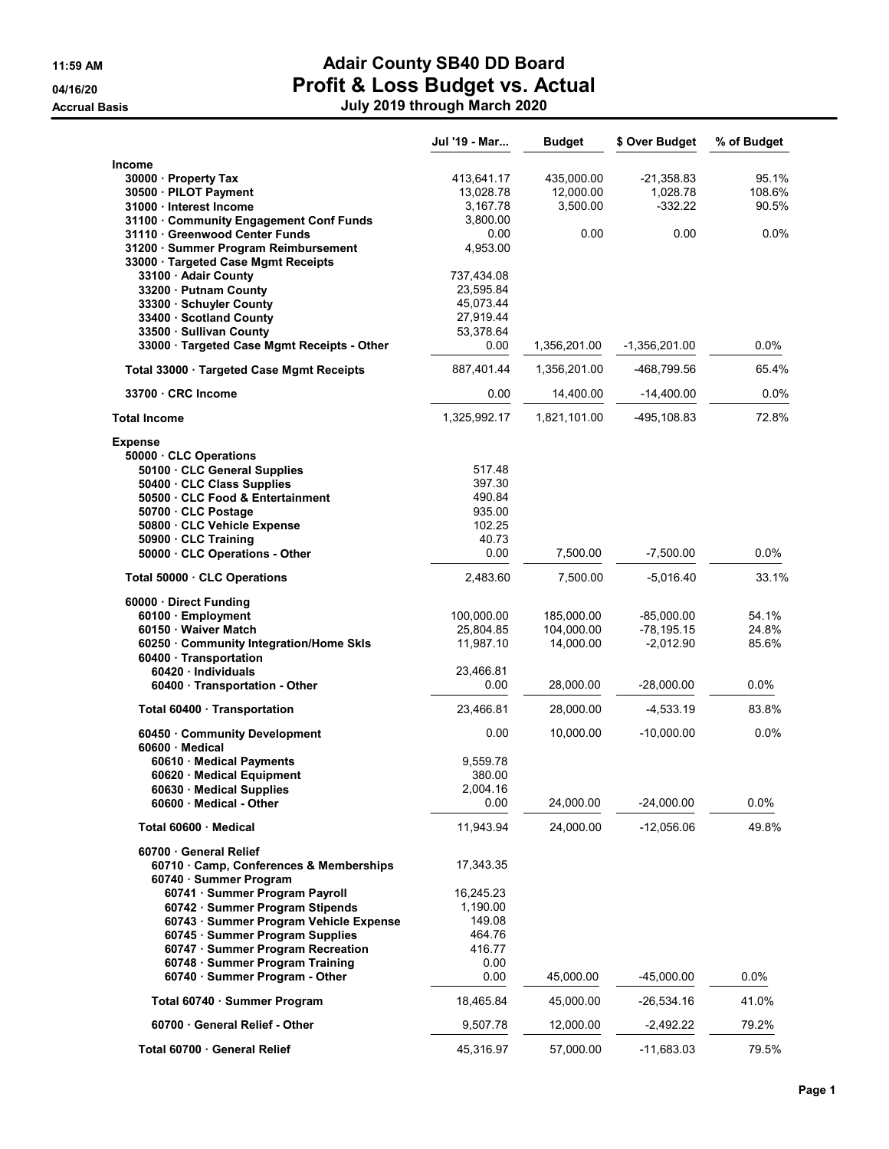|                                                                           | Jul '19 - Mar | <b>Budget</b> | \$ Over Budget  | % of Budget |
|---------------------------------------------------------------------------|---------------|---------------|-----------------|-------------|
| Income                                                                    |               |               |                 |             |
| 30000 · Property Tax                                                      | 413,641.17    | 435,000.00    | $-21,358.83$    | 95.1%       |
| 30500 · PILOT Payment                                                     | 13,028.78     | 12,000.00     | 1,028.78        | 108.6%      |
| 31000 · Interest Income                                                   | 3,167.78      | 3,500.00      | $-332.22$       | 90.5%       |
| 31100 Community Engagement Conf Funds                                     | 3,800.00      |               |                 |             |
| 31110 Greenwood Center Funds                                              | 0.00          | 0.00          | 0.00            | 0.0%        |
| 31200 · Summer Program Reimbursement                                      | 4,953.00      |               |                 |             |
| 33000 · Targeted Case Mgmt Receipts                                       |               |               |                 |             |
| 33100 · Adair County                                                      | 737,434.08    |               |                 |             |
| 33200 · Putnam County                                                     | 23,595.84     |               |                 |             |
| 33300 · Schuyler County                                                   | 45,073.44     |               |                 |             |
| 33400 Scotland County                                                     | 27,919.44     |               |                 |             |
| 33500 · Sullivan County                                                   | 53,378.64     |               |                 |             |
| 33000 · Targeted Case Mgmt Receipts - Other                               | 0.00          | 1,356,201.00  | $-1,356,201.00$ | 0.0%        |
| Total 33000 · Targeted Case Mgmt Receipts                                 | 887,401.44    | 1,356,201.00  | -468,799.56     | 65.4%       |
| 33700 CRC Income                                                          | 0.00          | 14,400.00     | $-14,400.00$    | 0.0%        |
| <b>Total Income</b>                                                       | 1,325,992.17  | 1,821,101.00  | -495,108.83     | 72.8%       |
| <b>Expense</b>                                                            |               |               |                 |             |
| 50000 · CLC Operations                                                    |               |               |                 |             |
| 50100 · CLC General Supplies                                              | 517.48        |               |                 |             |
| 50400 · CLC Class Supplies                                                | 397.30        |               |                 |             |
| 50500 CLC Food & Entertainment                                            | 490.84        |               |                 |             |
| 50700 CLC Postage                                                         | 935.00        |               |                 |             |
| 50800 CLC Vehicle Expense                                                 | 102.25        |               |                 |             |
| 50900 · CLC Training                                                      | 40.73         |               |                 |             |
| 50000 · CLC Operations - Other                                            | 0.00          | 7,500.00      | $-7,500.00$     | 0.0%        |
| Total 50000 CLC Operations                                                | 2,483.60      | 7,500.00      | -5,016.40       | 33.1%       |
| 60000 · Direct Funding                                                    |               |               |                 |             |
| 60100 · Employment                                                        | 100,000.00    | 185,000.00    | $-85,000.00$    | 54.1%       |
| 60150 Waiver Match                                                        | 25,804.85     | 104,000.00    | $-78, 195.15$   | 24.8%       |
| 60250 Community Integration/Home Skls                                     | 11,987.10     | 14,000.00     | $-2,012.90$     | 85.6%       |
| 60400 · Transportation                                                    |               |               |                 |             |
| 60420 · Individuals                                                       | 23,466.81     |               |                 |             |
| 60400 Transportation - Other                                              | 0.00          | 28,000.00     | $-28,000.00$    | $0.0\%$     |
| Total 60400 · Transportation                                              | 23,466.81     | 28,000.00     | $-4,533.19$     | 83.8%       |
| 60450 Community Development<br>60600 Medical                              | 0.00          | 10,000.00     | $-10,000.00$    | 0.0%        |
| 60610 Medical Payments                                                    | 9,559.78      |               |                 |             |
| 60620 · Medical Equipment                                                 | 380.00        |               |                 |             |
| 60630 Medical Supplies                                                    | 2,004.16      |               |                 |             |
| 60600 Medical - Other                                                     | 0.00          | 24,000.00     | $-24,000.00$    | 0.0%        |
| Total 60600 · Medical                                                     | 11,943.94     | 24,000.00     | $-12,056.06$    | 49.8%       |
| 60700 General Relief                                                      |               |               |                 |             |
| 60710 Camp, Conferences & Memberships                                     | 17,343.35     |               |                 |             |
| 60740 · Summer Program<br>60741 · Summer Program Payroll                  | 16,245.23     |               |                 |             |
|                                                                           | 1,190.00      |               |                 |             |
| 60742 · Summer Program Stipends<br>60743 · Summer Program Vehicle Expense | 149.08        |               |                 |             |
| 60745 · Summer Program Supplies                                           | 464.76        |               |                 |             |
| 60747 · Summer Program Recreation                                         | 416.77        |               |                 |             |
| 60748 · Summer Program Training                                           | 0.00          |               |                 |             |
| 60740 · Summer Program - Other                                            | 0.00          | 45,000.00     | $-45,000.00$    | 0.0%        |
| Total 60740 · Summer Program                                              | 18,465.84     | 45,000.00     | $-26,534.16$    | 41.0%       |
| 60700 · General Relief - Other                                            | 9,507.78      | 12,000.00     | $-2,492.22$     | 79.2%       |
| Total 60700 · General Relief                                              | 45,316.97     | 57,000.00     | $-11,683.03$    | 79.5%       |
|                                                                           |               |               |                 |             |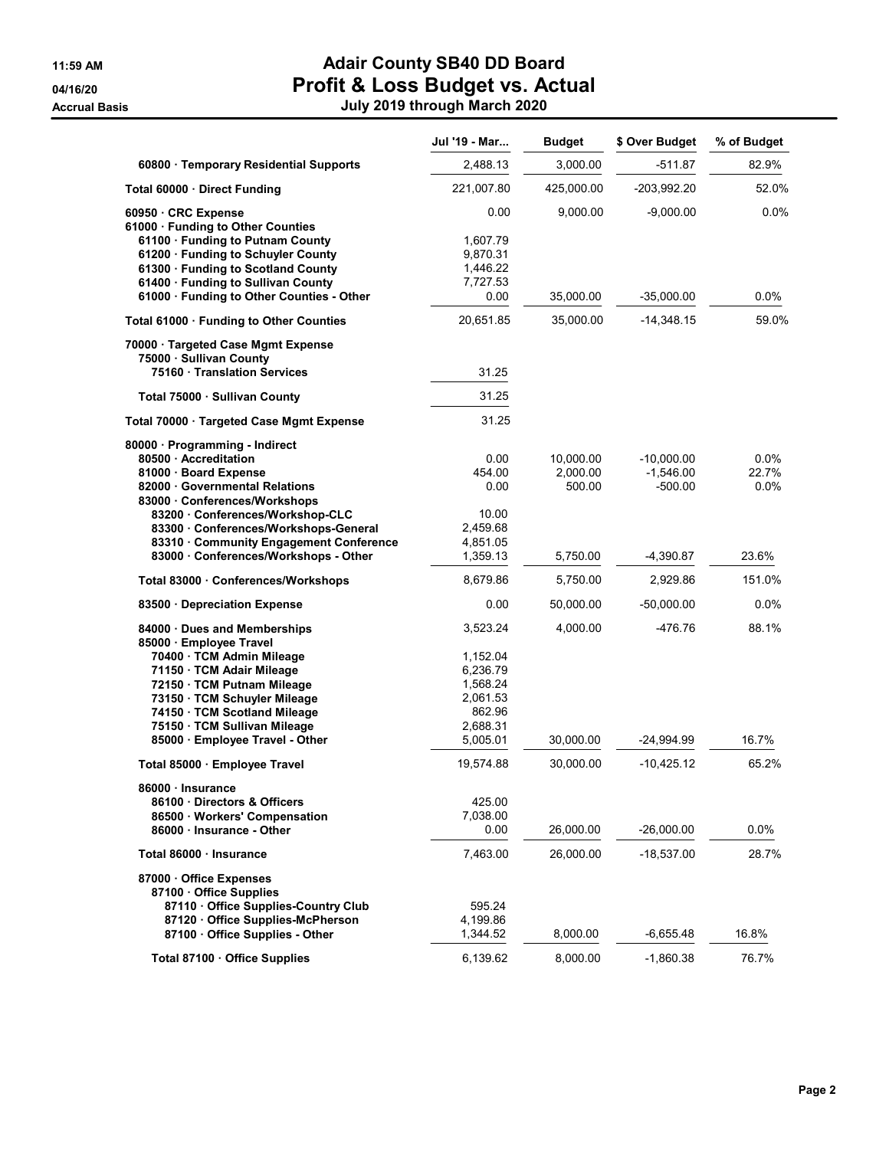|                                                                                                                                                                                                                                                                                | Jul '19 - Mar                                                                              | <b>Budget</b>                   | \$ Over Budget                           | % of Budget              |
|--------------------------------------------------------------------------------------------------------------------------------------------------------------------------------------------------------------------------------------------------------------------------------|--------------------------------------------------------------------------------------------|---------------------------------|------------------------------------------|--------------------------|
| 60800 · Temporary Residential Supports                                                                                                                                                                                                                                         | 2,488.13                                                                                   | 3,000.00                        | $-511.87$                                | 82.9%                    |
| Total 60000 · Direct Funding                                                                                                                                                                                                                                                   | 221,007.80                                                                                 | 425,000.00                      | $-203,992.20$                            | 52.0%                    |
| 60950 · CRC Expense<br>61000 · Funding to Other Counties<br>61100 · Funding to Putnam County<br>61200 · Funding to Schuyler County<br>61300 · Funding to Scotland County                                                                                                       | 0.00<br>1,607.79<br>9,870.31<br>1,446.22                                                   | 9,000.00                        | $-9,000.00$                              | $0.0\%$                  |
| 61400 · Funding to Sullivan County<br>61000 · Funding to Other Counties - Other                                                                                                                                                                                                | 7,727.53<br>0.00                                                                           | 35,000.00                       | $-35,000.00$                             | 0.0%                     |
| Total 61000 · Funding to Other Counties                                                                                                                                                                                                                                        | 20,651.85                                                                                  | 35,000.00                       | $-14,348.15$                             | 59.0%                    |
| 70000 · Targeted Case Mgmt Expense<br>75000 · Sullivan County<br>75160 Translation Services                                                                                                                                                                                    | 31.25                                                                                      |                                 |                                          |                          |
| Total 75000 · Sullivan County                                                                                                                                                                                                                                                  | 31.25                                                                                      |                                 |                                          |                          |
| Total 70000 · Targeted Case Mgmt Expense                                                                                                                                                                                                                                       | 31.25                                                                                      |                                 |                                          |                          |
| 80000 · Programming - Indirect<br>80500 - Accreditation<br>81000 Board Expense<br>82000 Governmental Relations<br>83000 Conferences/Workshops<br>83200 Conferences/Workshop-CLC                                                                                                | 0.00<br>454.00<br>0.00<br>10.00                                                            | 10,000.00<br>2,000.00<br>500.00 | $-10,000.00$<br>$-1,546.00$<br>$-500.00$ | 0.0%<br>22.7%<br>$0.0\%$ |
| 83300 Conferences/Workshops-General<br>83310 Community Engagement Conference<br>83000 · Conferences/Workshops - Other                                                                                                                                                          | 2,459.68<br>4,851.05<br>1,359.13                                                           | 5,750.00                        | $-4,390.87$                              | 23.6%                    |
| Total 83000 · Conferences/Workshops                                                                                                                                                                                                                                            | 8,679.86                                                                                   | 5,750.00                        | 2,929.86                                 | 151.0%                   |
| 83500 Depreciation Expense                                                                                                                                                                                                                                                     | 0.00                                                                                       | 50,000.00                       | $-50,000.00$                             | 0.0%                     |
| 84000 Dues and Memberships<br>85000 · Employee Travel<br>70400 · TCM Admin Mileage<br>71150 · TCM Adair Mileage<br>72150 · TCM Putnam Mileage<br>73150 TCM Schuyler Mileage<br>74150 · TCM Scotland Mileage<br>75150 · TCM Sullivan Mileage<br>85000 · Employee Travel - Other | 3,523.24<br>1,152.04<br>6,236.79<br>1,568.24<br>2,061.53<br>862.96<br>2,688.31<br>5,005.01 | 4,000.00<br>30,000.00           | -476.76<br>-24,994.99                    | 88.1%<br>16.7%           |
| Total 85000 · Employee Travel                                                                                                                                                                                                                                                  | 19,574.88                                                                                  | 30,000.00                       | $-10,425.12$                             | 65.2%                    |
| 86000 · Insurance<br>86100 Directors & Officers<br>86500 · Workers' Compensation<br>86000 Insurance - Other                                                                                                                                                                    | 425.00<br>7,038.00<br>0.00                                                                 | 26,000.00                       | $-26,000.00$                             | $0.0\%$                  |
| Total 86000 · Insurance                                                                                                                                                                                                                                                        | 7,463.00                                                                                   | 26,000.00                       | $-18,537.00$                             | 28.7%                    |
| 87000 Office Expenses<br>87100 Office Supplies<br>87110 Office Supplies-Country Club<br>87120 Office Supplies-McPherson<br>87100 Office Supplies - Other                                                                                                                       | 595.24<br>4,199.86<br>1,344.52                                                             | 8,000.00                        | $-6,655.48$                              | 16.8%                    |
| Total 87100 · Office Supplies                                                                                                                                                                                                                                                  | 6,139.62                                                                                   | 8,000.00                        | $-1,860.38$                              | 76.7%                    |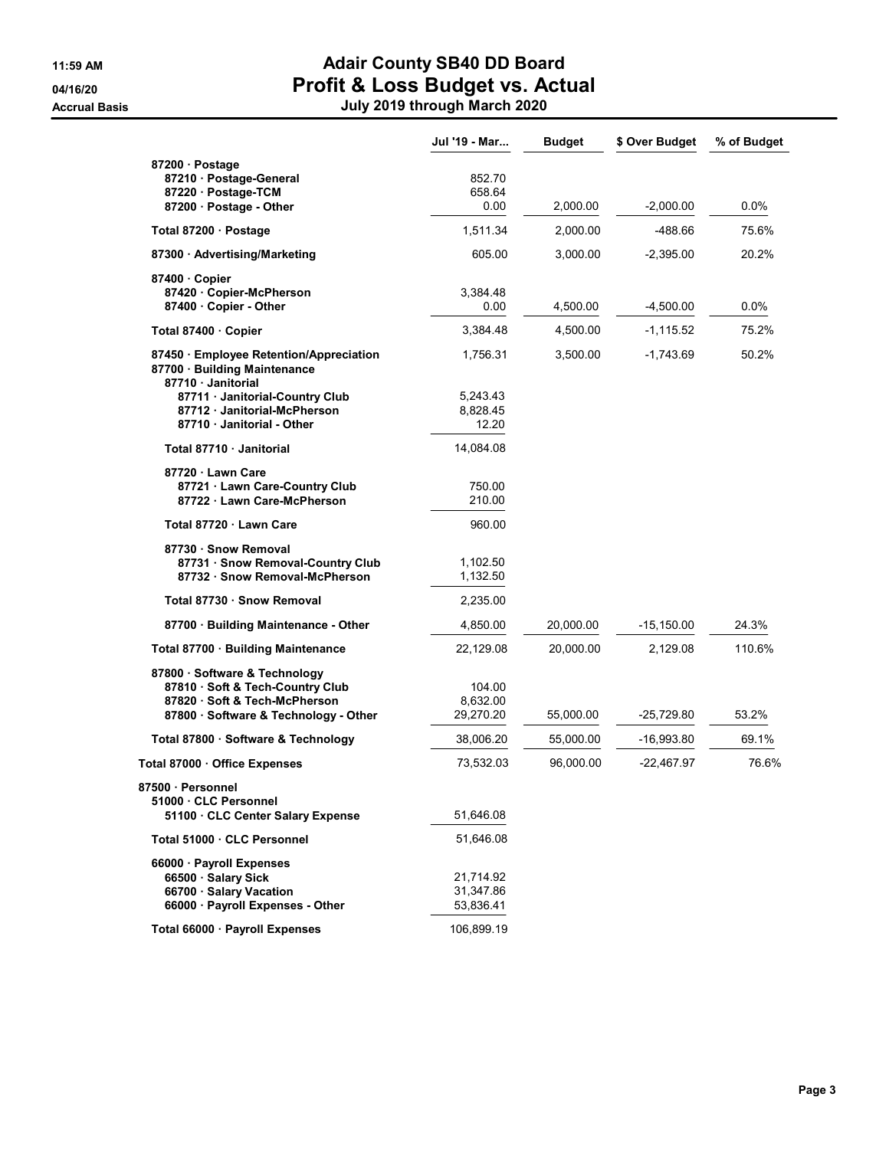|                                                                                                                                           | Jul '19 - Mar                       | <b>Budget</b> | \$ Over Budget | % of Budget |
|-------------------------------------------------------------------------------------------------------------------------------------------|-------------------------------------|---------------|----------------|-------------|
| 87200 · Postage<br>87210 · Postage-General<br>87220 · Postage-TCM<br>87200 · Postage - Other                                              | 852.70<br>658.64<br>0.00            | 2,000.00      | $-2,000.00$    | $0.0\%$     |
|                                                                                                                                           | 1,511.34                            | 2,000.00      | $-488.66$      | 75.6%       |
| Total 87200 · Postage                                                                                                                     |                                     |               |                |             |
| 87300 Advertising/Marketing                                                                                                               | 605.00                              | 3,000.00      | $-2,395.00$    | 20.2%       |
| 87400 Copier<br>87420 Copier-McPherson<br>87400 · Copier - Other                                                                          | 3,384.48<br>0.00                    | 4,500.00      | -4,500.00      | 0.0%        |
| Total 87400 · Copier                                                                                                                      | 3,384.48                            | 4,500.00      | $-1,115.52$    | 75.2%       |
| 87450 · Employee Retention/Appreciation<br>87700 · Building Maintenance<br>87710 Janitorial                                               | 1,756.31                            | 3,500.00      | $-1,743.69$    | 50.2%       |
| 87711 Janitorial-Country Club<br>87712 Janitorial-McPherson<br>87710 Janitorial - Other                                                   | 5,243.43<br>8,828.45<br>12.20       |               |                |             |
| Total 87710 · Janitorial                                                                                                                  | 14,084.08                           |               |                |             |
| 87720 · Lawn Care<br>87721 Lawn Care-Country Club<br>87722 Lawn Care-McPherson                                                            | 750.00<br>210.00                    |               |                |             |
| Total 87720 · Lawn Care                                                                                                                   | 960.00                              |               |                |             |
| 87730 · Snow Removal<br>87731 · Snow Removal-Country Club<br>87732 · Snow Removal-McPherson                                               | 1,102.50<br>1,132.50                |               |                |             |
| Total 87730 · Snow Removal                                                                                                                | 2,235.00                            |               |                |             |
| 87700 Building Maintenance - Other                                                                                                        | 4,850.00                            | 20,000.00     | $-15,150.00$   | 24.3%       |
| Total 87700 · Building Maintenance                                                                                                        | 22,129.08                           | 20,000.00     | 2,129.08       | 110.6%      |
| 87800 · Software & Technology<br>87810 · Soft & Tech-Country Club<br>87820 Soft & Tech-McPherson<br>87800 · Software & Technology - Other | 104.00<br>8,632.00<br>29,270.20     | 55,000.00     | -25,729.80     | 53.2%       |
| Total 87800 · Software & Technology                                                                                                       | 38,006.20                           | 55,000.00     | -16,993.80     | 69.1%       |
| Total 87000 · Office Expenses                                                                                                             | 73,532.03                           | 96,000.00     | -22,467.97     | 76.6%       |
| 87500 · Personnel<br>51000 CLC Personnel<br>51100 CLC Center Salary Expense                                                               | 51,646.08                           |               |                |             |
| Total 51000 · CLC Personnel                                                                                                               | 51,646.08                           |               |                |             |
| 66000 Payroll Expenses<br>66500 · Salary Sick<br>66700 · Salary Vacation<br>66000 · Payroll Expenses - Other                              | 21,714.92<br>31,347.86<br>53,836.41 |               |                |             |
| Total 66000 · Payroll Expenses                                                                                                            | 106,899.19                          |               |                |             |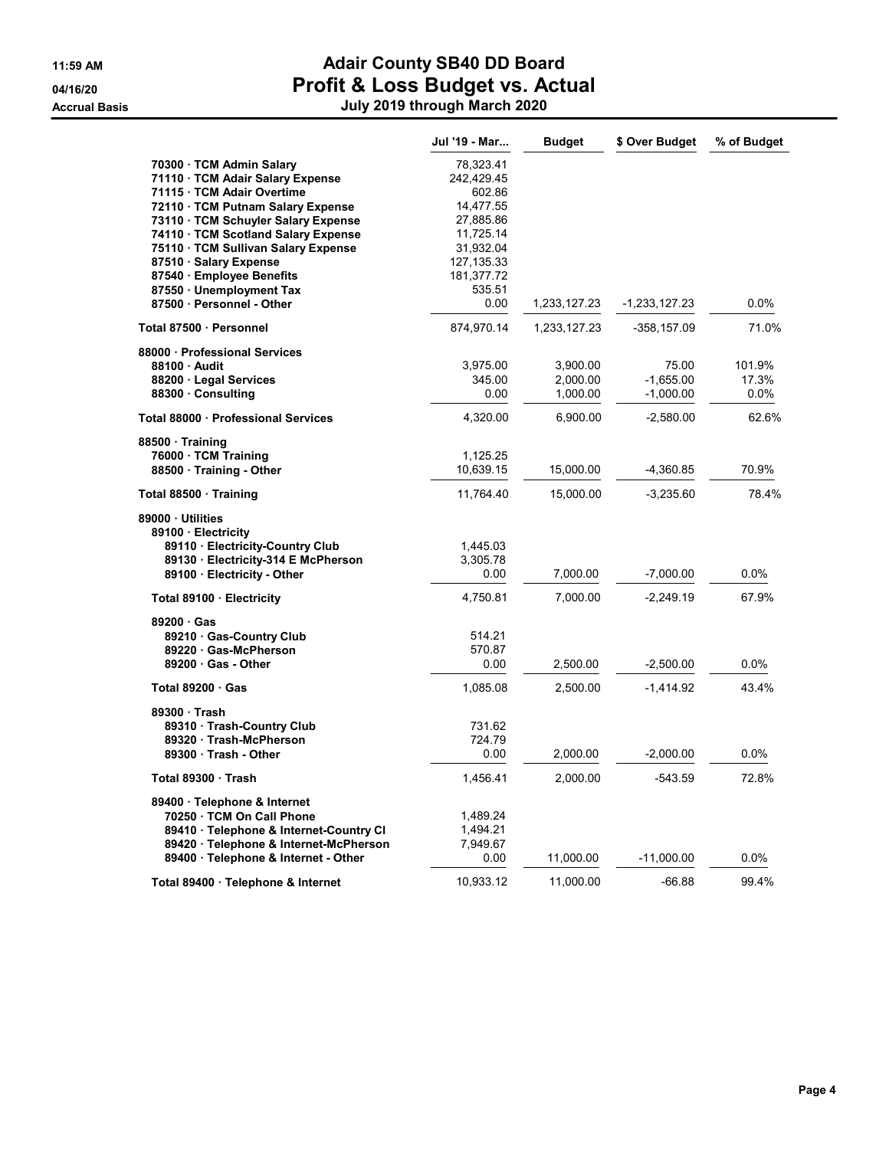|                                                                                                                                                                                                                                                                                                         | Jul '19 - Mar                                                                                                      | <b>Budget</b>                    | \$ Over Budget                      | % of Budget                |
|---------------------------------------------------------------------------------------------------------------------------------------------------------------------------------------------------------------------------------------------------------------------------------------------------------|--------------------------------------------------------------------------------------------------------------------|----------------------------------|-------------------------------------|----------------------------|
| 70300 · TCM Admin Salary<br>71110 · TCM Adair Salary Expense<br>71115 · TCM Adair Overtime<br>72110 · TCM Putnam Salary Expense<br>73110 · TCM Schuyler Salary Expense<br>74110 TCM Scotland Salary Expense<br>75110 · TCM Sullivan Salary Expense<br>87510 Salary Expense<br>87540 · Employee Benefits | 78,323.41<br>242,429.45<br>602.86<br>14,477.55<br>27,885.86<br>11,725.14<br>31,932.04<br>127, 135.33<br>181,377.72 |                                  |                                     |                            |
| 87550 · Unemployment Tax<br>87500 · Personnel - Other                                                                                                                                                                                                                                                   | 535.51<br>0.00                                                                                                     | 1,233,127.23                     | $-1,233,127.23$                     | 0.0%                       |
| Total 87500 · Personnel                                                                                                                                                                                                                                                                                 | 874,970.14                                                                                                         | 1,233,127.23                     | -358,157.09                         | 71.0%                      |
| 88000 Professional Services<br>88100 Audit<br>88200 · Legal Services<br>88300 Consulting                                                                                                                                                                                                                | 3,975.00<br>345.00<br>0.00                                                                                         | 3,900.00<br>2,000.00<br>1,000.00 | 75.00<br>$-1,655.00$<br>$-1,000.00$ | 101.9%<br>17.3%<br>$0.0\%$ |
| Total 88000 · Professional Services                                                                                                                                                                                                                                                                     | 4,320.00                                                                                                           | 6,900.00                         | $-2,580.00$                         | 62.6%                      |
| 88500 Training<br>76000 · TCM Training<br>88500 Training - Other                                                                                                                                                                                                                                        | 1,125.25<br>10,639.15                                                                                              | 15,000.00                        | -4,360.85                           | 70.9%                      |
| Total 88500 · Training                                                                                                                                                                                                                                                                                  | 11,764.40                                                                                                          | 15,000.00                        | $-3,235.60$                         | 78.4%                      |
| 89000 Utilities<br>89100 Electricity<br>89110 · Electricity-Country Club<br>89130 Electricity-314 E McPherson<br>89100 · Electricity - Other                                                                                                                                                            | 1,445.03<br>3,305.78<br>0.00                                                                                       | 7,000.00                         | $-7,000.00$                         | 0.0%                       |
| Total 89100 · Electricity                                                                                                                                                                                                                                                                               | 4,750.81                                                                                                           | 7,000.00                         | $-2,249.19$                         | 67.9%                      |
| 89200 Gas<br>89210 Gas-Country Club<br>89220 · Gas-McPherson<br>89200 Gas - Other                                                                                                                                                                                                                       | 514.21<br>570.87<br>0.00                                                                                           | 2,500.00                         | $-2,500.00$                         | 0.0%                       |
| Total $89200 \cdot Gas$                                                                                                                                                                                                                                                                                 | 1,085.08                                                                                                           | 2,500.00                         | -1,414.92                           | 43.4%                      |
| 89300 · Trash<br>89310 Trash-Country Club<br>89320 Trash-McPherson<br>89300 Trash - Other                                                                                                                                                                                                               | 731.62<br>724.79<br>0.00                                                                                           | 2,000.00                         | $-2,000.00$                         | 0.0%                       |
| Total 89300 · Trash                                                                                                                                                                                                                                                                                     | 1,456.41                                                                                                           | 2,000.00                         | $-543.59$                           | 72.8%                      |
| 89400 · Telephone & Internet<br>70250 TCM On Call Phone<br>89410 · Telephone & Internet-Country CI<br>89420 · Telephone & Internet-McPherson<br>89400 · Telephone & Internet - Other                                                                                                                    | 1,489.24<br>1,494.21<br>7,949.67<br>0.00                                                                           | 11,000.00                        | $-11,000.00$                        | 0.0%                       |
| Total 89400 · Telephone & Internet                                                                                                                                                                                                                                                                      | 10,933.12                                                                                                          | 11,000.00                        | $-66.88$                            | 99.4%                      |